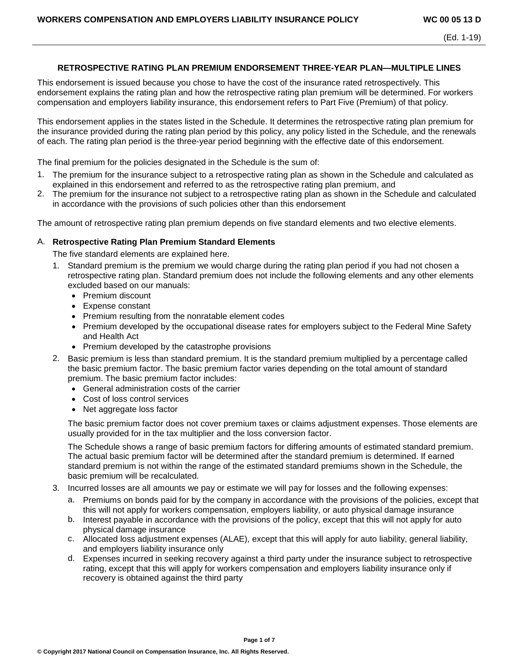## **RETROSPECTIVE RATING PLAN PREMIUM ENDORSEMENT THREE-YEAR PLAN—MULTIPLE LINES**

This endorsement is issued because you chose to have the cost of the insurance rated retrospectively. This endorsement explains the rating plan and how the retrospective rating plan premium will be determined. For workers compensation and employers liability insurance, this endorsement refers to Part Five (Premium) of that policy.

This endorsement applies in the states listed in the Schedule. It determines the retrospective rating plan premium for the insurance provided during the rating plan period by this policy, any policy listed in the Schedule, and the renewals of each. The rating plan period is the three-year period beginning with the effective date of this endorsement.

The final premium for the policies designated in the Schedule is the sum of:

- 1. The premium for the insurance subject to a retrospective rating plan as shown in the Schedule and calculated as explained in this endorsement and referred to as the retrospective rating plan premium, and
- 2. The premium for the insurance not subject to a retrospective rating plan as shown in the Schedule and calculated in accordance with the provisions of such policies other than this endorsement

The amount of retrospective rating plan premium depends on five standard elements and two elective elements.

#### A. **Retrospective Rating Plan Premium Standard Elements**

The five standard elements are explained here.

- 1. Standard premium is the premium we would charge during the rating plan period if you had not chosen a retrospective rating plan. Standard premium does not include the following elements and any other elements excluded based on our manuals:
	- Premium discount
	- Expense constant
	- Premium resulting from the nonratable element codes
	- Premium developed by the occupational disease rates for employers subject to the Federal Mine Safety and Health Act
	- Premium developed by the catastrophe provisions
- 2. Basic premium is less than standard premium. It is the standard premium multiplied by a percentage called the basic premium factor. The basic premium factor varies depending on the total amount of standard premium. The basic premium factor includes:
	- General administration costs of the carrier
	- Cost of loss control services
	- Net aggregate loss factor

The basic premium factor does not cover premium taxes or claims adjustment expenses. Those elements are usually provided for in the tax multiplier and the loss conversion factor.

The Schedule shows a range of basic premium factors for differing amounts of estimated standard premium. The actual basic premium factor will be determined after the standard premium is determined. If earned standard premium is not within the range of the estimated standard premiums shown in the Schedule, the basic premium will be recalculated.

- 3. Incurred losses are all amounts we pay or estimate we will pay for losses and the following expenses:
	- a. Premiums on bonds paid for by the company in accordance with the provisions of the policies, except that this will not apply for workers compensation, employers liability, or auto physical damage insurance
	- b. Interest payable in accordance with the provisions of the policy, except that this will not apply for auto physical damage insurance
	- c. Allocated loss adjustment expenses (ALAE), except that this will apply for auto liability, general liability, and employers liability insurance only
	- d. Expenses incurred in seeking recovery against a third party under the insurance subject to retrospective rating, except that this will apply for workers compensation and employers liability insurance only if recovery is obtained against the third party

**Page 1 of 7**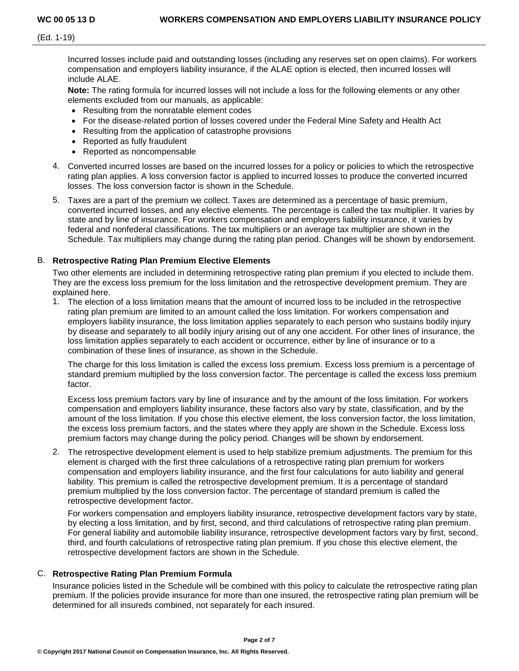(Ed. 1-19)

Incurred losses include paid and outstanding losses (including any reserves set on open claims). For workers compensation and employers liability insurance, if the ALAE option is elected, then incurred losses will include ALAE.

**Note:** The rating formula for incurred losses will not include a loss for the following elements or any other elements excluded from our manuals, as applicable:

- Resulting from the nonratable element codes
- For the disease-related portion of losses covered under the Federal Mine Safety and Health Act
- Resulting from the application of catastrophe provisions
- Reported as fully fraudulent
- Reported as noncompensable
- 4. Converted incurred losses are based on the incurred losses for a policy or policies to which the retrospective rating plan applies. A loss conversion factor is applied to incurred losses to produce the converted incurred losses. The loss conversion factor is shown in the Schedule.
- 5. Taxes are a part of the premium we collect. Taxes are determined as a percentage of basic premium, converted incurred losses, and any elective elements. The percentage is called the tax multiplier. It varies by state and by line of insurance. For workers compensation and employers liability insurance, it varies by federal and nonfederal classifications. The tax multipliers or an average tax multiplier are shown in the Schedule. Tax multipliers may change during the rating plan period. Changes will be shown by endorsement.

# B. **Retrospective Rating Plan Premium Elective Elements**

Two other elements are included in determining retrospective rating plan premium if you elected to include them. They are the excess loss premium for the loss limitation and the retrospective development premium. They are explained here.

1. The election of a loss limitation means that the amount of incurred loss to be included in the retrospective rating plan premium are limited to an amount called the loss limitation. For workers compensation and employers liability insurance, the loss limitation applies separately to each person who sustains bodily injury by disease and separately to all bodily injury arising out of any one accident. For other lines of insurance, the loss limitation applies separately to each accident or occurrence, either by line of insurance or to a combination of these lines of insurance, as shown in the Schedule.

The charge for this loss limitation is called the excess loss premium. Excess loss premium is a percentage of standard premium multiplied by the loss conversion factor. The percentage is called the excess loss premium factor.

Excess loss premium factors vary by line of insurance and by the amount of the loss limitation. For workers compensation and employers liability insurance, these factors also vary by state, classification, and by the amount of the loss limitation. If you chose this elective element, the loss conversion factor, the loss limitation, the excess loss premium factors, and the states where they apply are shown in the Schedule. Excess loss premium factors may change during the policy period. Changes will be shown by endorsement.

2. The retrospective development element is used to help stabilize premium adjustments. The premium for this element is charged with the first three calculations of a retrospective rating plan premium for workers compensation and employers liability insurance, and the first four calculations for auto liability and general liability. This premium is called the retrospective development premium. It is a percentage of standard premium multiplied by the loss conversion factor. The percentage of standard premium is called the retrospective development factor.

For workers compensation and employers liability insurance, retrospective development factors vary by state, by electing a loss limitation, and by first, second, and third calculations of retrospective rating plan premium. For general liability and automobile liability insurance, retrospective development factors vary by first, second, third, and fourth calculations of retrospective rating plan premium. If you chose this elective element, the retrospective development factors are shown in the Schedule.

## C. **Retrospective Rating Plan Premium Formula**

Insurance policies listed in the Schedule will be combined with this policy to calculate the retrospective rating plan premium. If the policies provide insurance for more than one insured, the retrospective rating plan premium will be determined for all insureds combined, not separately for each insured.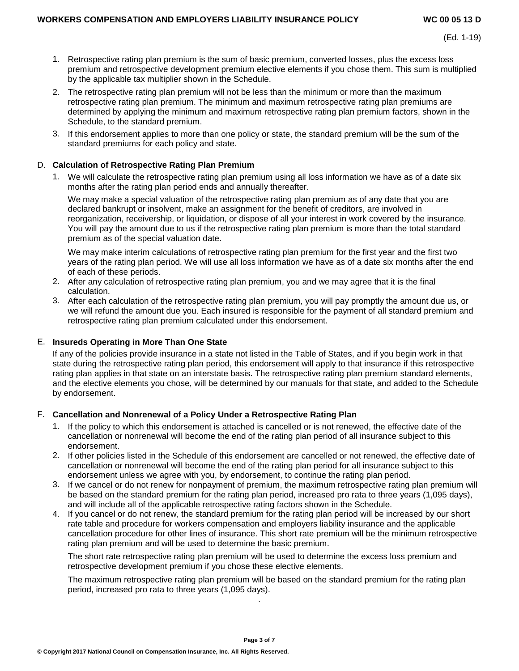- 1. Retrospective rating plan premium is the sum of basic premium, converted losses, plus the excess loss premium and retrospective development premium elective elements if you chose them. This sum is multiplied by the applicable tax multiplier shown in the Schedule.
- 2. The retrospective rating plan premium will not be less than the minimum or more than the maximum retrospective rating plan premium. The minimum and maximum retrospective rating plan premiums are determined by applying the minimum and maximum retrospective rating plan premium factors, shown in the Schedule, to the standard premium.
- 3. If this endorsement applies to more than one policy or state, the standard premium will be the sum of the standard premiums for each policy and state.

### D. **Calculation of Retrospective Rating Plan Premium**

1. We will calculate the retrospective rating plan premium using all loss information we have as of a date six months after the rating plan period ends and annually thereafter.

We may make a special valuation of the retrospective rating plan premium as of any date that you are declared bankrupt or insolvent, make an assignment for the benefit of creditors, are involved in reorganization, receivership, or liquidation, or dispose of all your interest in work covered by the insurance. You will pay the amount due to us if the retrospective rating plan premium is more than the total standard premium as of the special valuation date.

We may make interim calculations of retrospective rating plan premium for the first year and the first two years of the rating plan period. We will use all loss information we have as of a date six months after the end of each of these periods.

- 2. After any calculation of retrospective rating plan premium, you and we may agree that it is the final calculation.
- 3. After each calculation of the retrospective rating plan premium, you will pay promptly the amount due us, or we will refund the amount due you. Each insured is responsible for the payment of all standard premium and retrospective rating plan premium calculated under this endorsement.

## E. **Insureds Operating in More Than One State**

If any of the policies provide insurance in a state not listed in the Table of States, and if you begin work in that state during the retrospective rating plan period, this endorsement will apply to that insurance if this retrospective rating plan applies in that state on an interstate basis. The retrospective rating plan premium standard elements, and the elective elements you chose, will be determined by our manuals for that state, and added to the Schedule by endorsement.

# F. **Cancellation and Nonrenewal of a Policy Under a Retrospective Rating Plan**

- 1. If the policy to which this endorsement is attached is cancelled or is not renewed, the effective date of the cancellation or nonrenewal will become the end of the rating plan period of all insurance subject to this endorsement.
- 2. If other policies listed in the Schedule of this endorsement are cancelled or not renewed, the effective date of cancellation or nonrenewal will become the end of the rating plan period for all insurance subject to this endorsement unless we agree with you, by endorsement, to continue the rating plan period.
- 3. If we cancel or do not renew for nonpayment of premium, the maximum retrospective rating plan premium will be based on the standard premium for the rating plan period, increased pro rata to three years (1,095 days), and will include all of the applicable retrospective rating factors shown in the Schedule.
- 4. If you cancel or do not renew, the standard premium for the rating plan period will be increased by our short rate table and procedure for workers compensation and employers liability insurance and the applicable cancellation procedure for other lines of insurance. This short rate premium will be the minimum retrospective rating plan premium and will be used to determine the basic premium.

The short rate retrospective rating plan premium will be used to determine the excess loss premium and retrospective development premium if you chose these elective elements.

The maximum retrospective rating plan premium will be based on the standard premium for the rating plan period, increased pro rata to three years (1,095 days).

.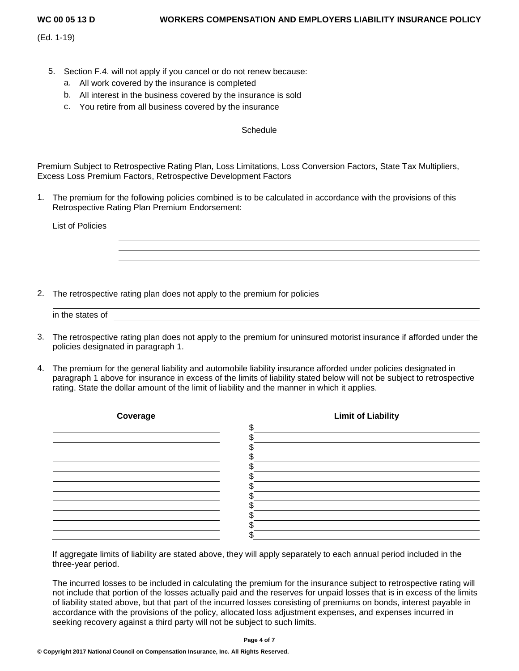(Ed. 1-19)

- 5. Section F.4. will not apply if you cancel or do not renew because:
	- a. All work covered by the insurance is completed
	- b. All interest in the business covered by the insurance is sold
	- c. You retire from all business covered by the insurance

## **Schedule**

Premium Subject to Retrospective Rating Plan, Loss Limitations, Loss Conversion Factors, State Tax Multipliers, Excess Loss Premium Factors, Retrospective Development Factors

1. The premium for the following policies combined is to be calculated in accordance with the provisions of this Retrospective Rating Plan Premium Endorsement:

| <b>List of Policies</b> |                                                                          |  |  |  |
|-------------------------|--------------------------------------------------------------------------|--|--|--|
|                         |                                                                          |  |  |  |
|                         |                                                                          |  |  |  |
|                         |                                                                          |  |  |  |
|                         |                                                                          |  |  |  |
|                         |                                                                          |  |  |  |
|                         | The retreasesting rating plan deep not apply to the promium for policies |  |  |  |

2. The retrospective rating plan does not apply to the premium for policies

- 3. The retrospective rating plan does not apply to the premium for uninsured motorist insurance if afforded under the policies designated in paragraph 1.
- 4. The premium for the general liability and automobile liability insurance afforded under policies designated in paragraph 1 above for insurance in excess of the limits of liability stated below will not be subject to retrospective rating. State the dollar amount of the limit of liability and the manner in which it applies.



If aggregate limits of liability are stated above, they will apply separately to each annual period included in the three-year period.

The incurred losses to be included in calculating the premium for the insurance subject to retrospective rating will not include that portion of the losses actually paid and the reserves for unpaid losses that is in excess of the limits of liability stated above, but that part of the incurred losses consisting of premiums on bonds, interest payable in accordance with the provisions of the policy, allocated loss adjustment expenses, and expenses incurred in seeking recovery against a third party will not be subject to such limits.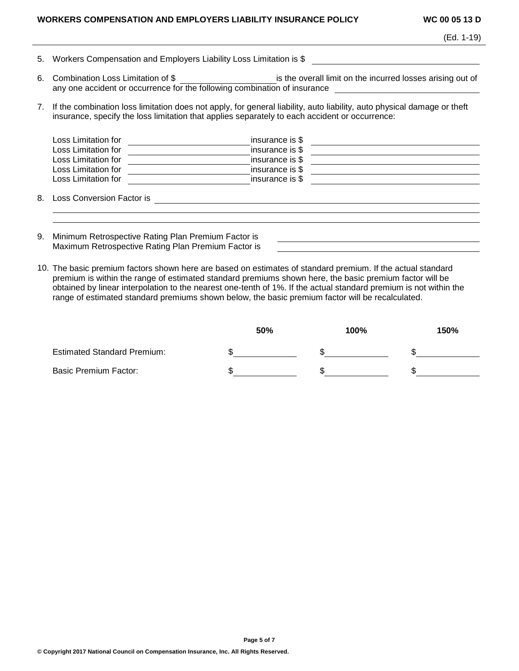#### **WORKERS COMPENSATION AND EMPLOYERS LIABILITY INSURANCE POLICY WC 00 05 13 D**

|  | (Ed. 1-19) |
|--|------------|
|--|------------|

|  |  |  |  |  | 5. Workers Compensation and Employers Liability Loss Limitation is \$ |  |  |
|--|--|--|--|--|-----------------------------------------------------------------------|--|--|
|--|--|--|--|--|-----------------------------------------------------------------------|--|--|

- 6. Combination Loss Limitation of \$ \_\_\_\_\_\_\_\_\_\_\_\_\_\_\_\_\_\_\_\_\_\_\_\_\_ is the overall limit on the incurred losses arising out of any one accident or occurrence for the following combination of insurance
- 7. If the combination loss limitation does not apply, for general liability, auto liability, auto physical damage or theft insurance, specify the loss limitation that applies separately to each accident or occurrence:

| Loss Limitation for<br>Loss Limitation for<br>Loss Limitation for | insurance is \$<br>insurance is \$<br>insurance is \$ |  |
|-------------------------------------------------------------------|-------------------------------------------------------|--|
| Loss Limitation for<br>Loss Limitation for                        | insurance is \$<br>insurance is \$                    |  |
| 8. Loss Conversion Factor is                                      |                                                       |  |
|                                                                   |                                                       |  |

- 9. Minimum Retrospective Rating Plan Premium Factor is Maximum Retrospective Rating Plan Premium Factor is
- 10. The basic premium factors shown here are based on estimates of standard premium. If the actual standard premium is within the range of estimated standard premiums shown here, the basic premium factor will be obtained by linear interpolation to the nearest one-tenth of 1%. If the actual standard premium is not within the range of estimated standard premiums shown below, the basic premium factor will be recalculated.

|                                    | 50% | 100% | 150% |
|------------------------------------|-----|------|------|
| <b>Estimated Standard Premium:</b> |     |      |      |
| <b>Basic Premium Factor:</b>       |     |      |      |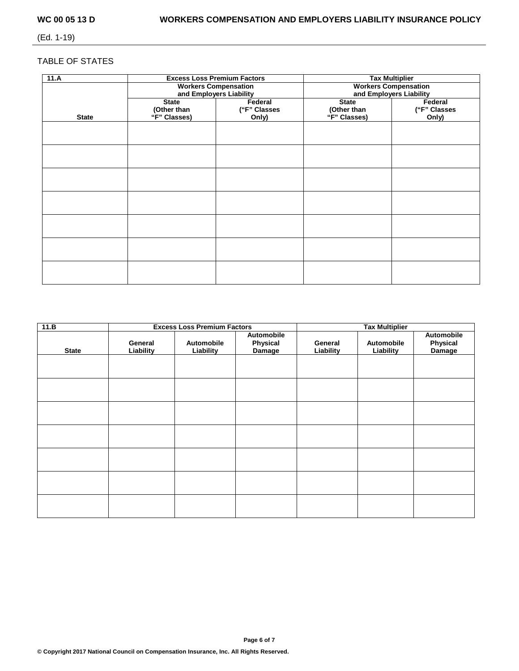(Ed. 1-19)

# TABLE OF STATES

| 11.A         |              | <b>Excess Loss Premium Factors</b> | <b>Tax Multiplier</b>       |              |  |  |
|--------------|--------------|------------------------------------|-----------------------------|--------------|--|--|
|              |              | <b>Workers Compensation</b>        | <b>Workers Compensation</b> |              |  |  |
|              |              | and Employers Liability            | and Employers Liability     |              |  |  |
|              | <b>State</b> | Federal                            | <b>State</b>                | Federal      |  |  |
|              | (Other than  | ("F" Classes                       | (Other than                 | ("F" Classes |  |  |
| <b>State</b> | "F" Classes) | Only)                              | "F" Classes)                | Only)        |  |  |
|              |              |                                    |                             |              |  |  |
|              |              |                                    |                             |              |  |  |
|              |              |                                    |                             |              |  |  |
|              |              |                                    |                             |              |  |  |
|              |              |                                    |                             |              |  |  |
|              |              |                                    |                             |              |  |  |
|              |              |                                    |                             |              |  |  |
|              |              |                                    |                             |              |  |  |
|              |              |                                    |                             |              |  |  |
|              |              |                                    |                             |              |  |  |
|              |              |                                    |                             |              |  |  |
|              |              |                                    |                             |              |  |  |
|              |              |                                    |                             |              |  |  |
|              |              |                                    |                             |              |  |  |
|              |              |                                    |                             |              |  |  |
|              |              |                                    |                             |              |  |  |
|              |              |                                    |                             |              |  |  |
|              |              |                                    |                             |              |  |  |
|              |              |                                    |                             |              |  |  |
|              |              |                                    |                             |              |  |  |
|              |              |                                    |                             |              |  |  |

| 11.B         |                      | <b>Excess Loss Premium Factors</b> |                                  |                      |                         |                                  |
|--------------|----------------------|------------------------------------|----------------------------------|----------------------|-------------------------|----------------------------------|
| <b>State</b> | General<br>Liability | Automobile<br>Liability            | Automobile<br>Physical<br>Damage | General<br>Liability | Automobile<br>Liability | Automobile<br>Physical<br>Damage |
|              |                      |                                    |                                  |                      |                         |                                  |
|              |                      |                                    |                                  |                      |                         |                                  |
|              |                      |                                    |                                  |                      |                         |                                  |
|              |                      |                                    |                                  |                      |                         |                                  |
|              |                      |                                    |                                  |                      |                         |                                  |
|              |                      |                                    |                                  |                      |                         |                                  |
|              |                      |                                    |                                  |                      |                         |                                  |

**Page 6 of 7**